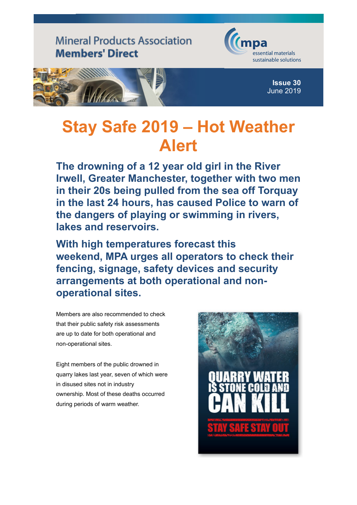

## **Stay Safe 2019 – Ho[t Weather](https://www.mineralproducts.org/) Alert**

**The drowning of a 12 year old girl in the River Irwell, Greater Manchester, together with two men in their 20s being pulled from the sea off Torquay in the last 24 hours, has caused Police to warn of the dangers of playing or swimming in rivers, lakes and reservoirs.**

**With high temperatures forecast this weekend, MPA urges all operators to check their fencing, signage, safety devices and security arrangements at both operational and nonoperational sites.** 

Members are also recommended to check that their public safety risk assessments are up to date for both operational and non-operational sites.

Eight members of the public drowned in quarry lakes last year, seven of which were in disused sites not in industry ownership. Most of these deaths occurred during periods of warm weather.